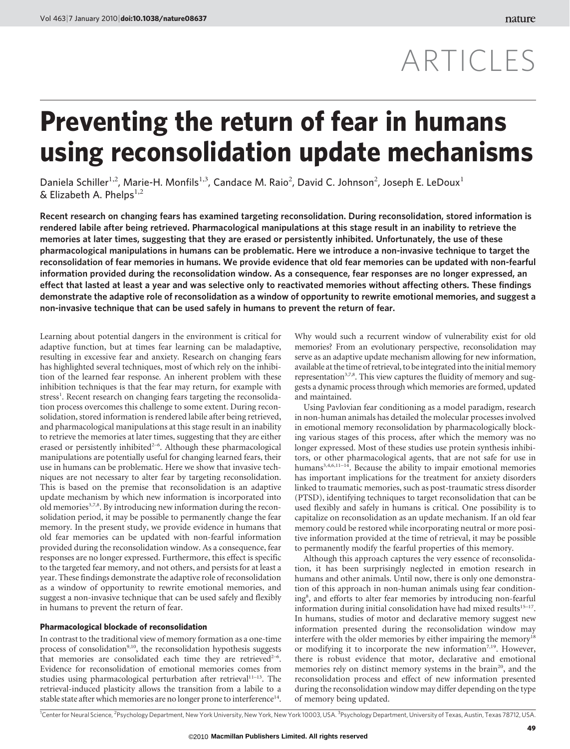# ARTICLES

# Preventing the return of fear in humans using reconsolidation update mechanisms

Daniela Schiller<sup>1,2</sup>, Marie-H. Monfils<sup>1,3</sup>, Candace M. Raio<sup>2</sup>, David C. Johnson<sup>2</sup>, Joseph E. LeDoux<sup>1</sup> & Elizabeth A. Phelps $^{1,2}$ 

Recent research on changing fears has examined targeting reconsolidation. During reconsolidation, stored information is rendered labile after being retrieved. Pharmacological manipulations at this stage result in an inability to retrieve the memories at later times, suggesting that they are erased or persistently inhibited. Unfortunately, the use of these pharmacological manipulations in humans can be problematic. Here we introduce a non-invasive technique to target the reconsolidation of fear memories in humans. We provide evidence that old fear memories can be updated with non-fearful information provided during the reconsolidation window. As a consequence, fear responses are no longer expressed, an effect that lasted at least a year and was selective only to reactivated memories without affecting others. These findings demonstrate the adaptive role of reconsolidation as a window of opportunity to rewrite emotional memories, and suggest a non-invasive technique that can be used safely in humans to prevent the return of fear.

Learning about potential dangers in the environment is critical for adaptive function, but at times fear learning can be maladaptive, resulting in excessive fear and anxiety. Research on changing fears has highlighted several techniques, most of which rely on the inhibition of the learned fear response. An inherent problem with these inhibition techniques is that the fear may return, for example with stress<sup>1</sup>. Recent research on changing fears targeting the reconsolidation process overcomes this challenge to some extent. During reconsolidation, stored information is rendered labile after being retrieved, and pharmacological manipulations at this stage result in an inability to retrieve the memories at later times, suggesting that they are either erased or persistently inhibited<sup>2-6</sup>. Although these pharmacological manipulations are potentially useful for changing learned fears, their use in humans can be problematic. Here we show that invasive techniques are not necessary to alter fear by targeting reconsolidation. This is based on the premise that reconsolidation is an adaptive update mechanism by which new information is incorporated into old memories<sup>3,7,8</sup>. By introducing new information during the reconsolidation period, it may be possible to permanently change the fear memory. In the present study, we provide evidence in humans that old fear memories can be updated with non-fearful information provided during the reconsolidation window. As a consequence, fear responses are no longer expressed. Furthermore, this effect is specific to the targeted fear memory, and not others, and persists for at least a year. These findings demonstrate the adaptive role of reconsolidation as a window of opportunity to rewrite emotional memories, and suggest a non-invasive technique that can be used safely and flexibly in humans to prevent the return of fear.

### Pharmacological blockade of reconsolidation

In contrast to the traditional view of memory formation as a one-time process of consolidation<sup>9,10</sup>, the reconsolidation hypothesis suggests that memories are consolidated each time they are retrieved $2-6$ . Evidence for reconsolidation of emotional memories comes from studies using pharmacological perturbation after retrieval $11-13$ . The retrieval-induced plasticity allows the transition from a labile to a stable state after which memories are no longer prone to interference<sup>14</sup>.

Why would such a recurrent window of vulnerability exist for old memories? From an evolutionary perspective, reconsolidation may serve as an adaptive update mechanism allowing for new information, available at the time of retrieval, to be integrated into the initial memory representation $3,7,8$ . This view captures the fluidity of memory and suggests a dynamic process through which memories are formed, updated and maintained.

Using Pavlovian fear conditioning as a model paradigm, research in non-human animals has detailed the molecular processes involved in emotional memory reconsolidation by pharmacologically blocking various stages of this process, after which the memory was no longer expressed. Most of these studies use protein synthesis inhibitors, or other pharmacological agents, that are not safe for use in humans<sup>3,4,6,11-14</sup>. Because the ability to impair emotional memories has important implications for the treatment for anxiety disorders linked to traumatic memories, such as post-traumatic stress disorder (PTSD), identifying techniques to target reconsolidation that can be used flexibly and safely in humans is critical. One possibility is to capitalize on reconsolidation as an update mechanism. If an old fear memory could be restored while incorporating neutral or more positive information provided at the time of retrieval, it may be possible to permanently modify the fearful properties of this memory.

Although this approach captures the very essence of reconsolidation, it has been surprisingly neglected in emotion research in humans and other animals. Until now, there is only one demonstration of this approach in non-human animals using fear conditioning<sup>8</sup>, and efforts to alter fear memories by introducing non-fearful information during initial consolidation have had mixed results<sup>15-17</sup>. In humans, studies of motor and declarative memory suggest new information presented during the reconsolidation window may interfere with the older memories by either impairing the memory<sup>18</sup> or modifying it to incorporate the new information<sup>7,19</sup>. However, there is robust evidence that motor, declarative and emotional memories rely on distinct memory systems in the brain<sup>20</sup>, and the reconsolidation process and effect of new information presented during the reconsolidation window may differ depending on the type of memory being updated.

<sup>1</sup>Center for Neural Science, <sup>2</sup>Psychology Department, New York University, New York, New York 10003, USA. <sup>3</sup>Psychology Department, University of Texas, Austin, Texas 78712, USA.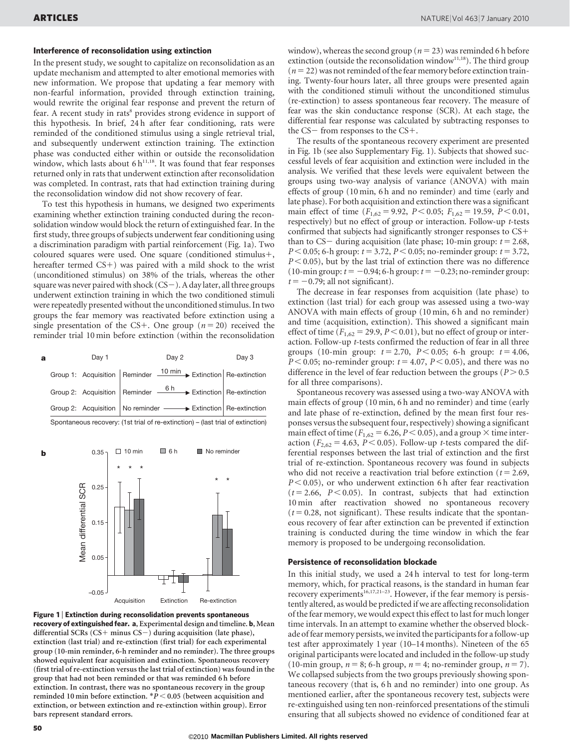#### Interference of reconsolidation using extinction

In the present study, we sought to capitalize on reconsolidation as an update mechanism and attempted to alter emotional memories with new information. We propose that updating a fear memory with non-fearful information, provided through extinction training, would rewrite the original fear response and prevent the return of fear. A recent study in rats<sup>8</sup> provides strong evidence in support of this hypothesis. In brief, 24 h after fear conditioning, rats were reminded of the conditioned stimulus using a single retrieval trial, and subsequently underwent extinction training. The extinction phase was conducted either within or outside the reconsolidation window, which lasts about  $6 h^{11,18}$ . It was found that fear responses returned only in rats that underwent extinction after reconsolidation was completed. In contrast, rats that had extinction training during the reconsolidation window did not show recovery of fear.

To test this hypothesis in humans, we designed two experiments examining whether extinction training conducted during the reconsolidation window would block the return of extinguished fear. In the first study, three groups of subjects underwent fear conditioning using a discrimination paradigm with partial reinforcement (Fig. 1a). Two coloured squares were used. One square (conditioned stimulus+, hereafter termed  $CS+$ ) was paired with a mild shock to the wrist (unconditioned stimulus) on 38% of the trials, whereas the other square was never paired with shock  $(CS-)$ . A day later, all three groups underwent extinction training in which the two conditioned stimuli were repeatedly presented without the unconditioned stimulus. In two groups the fear memory was reactivated before extinction using a single presentation of the CS+. One group ( $n = 20$ ) received the reminder trial 10 min before extinction (within the reconsolidation

|  | Dav 1 | Day 2                                                                                               | Day 3 |
|--|-------|-----------------------------------------------------------------------------------------------------|-------|
|  |       | Group 1: Acquisition   Reminder $\frac{10 \text{ min}}{2}$ Extinction   Re-extinction               |       |
|  |       | Group 2: Acquisition Reminder $\leftarrow \frac{6 \text{ h}}{2 \text{ h}}$ Extinction Re-extinction |       |
|  |       | Group 2: Acquisition   No reminder - Extinction   Re-extinction                                     |       |
|  |       | Spontaneous recovery: (1st trial of re-extinction) – (last trial of extinction)                     |       |





differential SCRs (CS+ minus CS-) during acquisition (late phase), extinction (last trial) and re-extinction (first trial) for each experimental group (10-min reminder, 6-h reminder and no reminder). The three groups showed equivalent fear acquisition and extinction. Spontaneous recovery (first trial of re-extinction versus the last trial of extinction) was found in the group that had not been reminded or that was reminded 6 h before extinction. In contrast, there was no spontaneous recovery in the group reminded 10 min before extinction.  $*P < 0.05$  (between acquisition and extinction, or between extinction and re-extinction within group). Error bars represent standard errors.

window), whereas the second group ( $n = 23$ ) was reminded 6 h before extinction (outside the reconsolidation window $11,18$ ). The third group  $(n = 22)$  was not reminded of the fear memory before extinction training. Twenty-four hours later, all three groups were presented again with the conditioned stimuli without the unconditioned stimulus (re-extinction) to assess spontaneous fear recovery. The measure of fear was the skin conductance response (SCR). At each stage, the differential fear response was calculated by subtracting responses to the  $CS$  – from responses to the  $CS$ +.

The results of the spontaneous recovery experiment are presented in Fig. 1b (see also Supplementary Fig. 1). Subjects that showed successful levels of fear acquisition and extinction were included in the analysis. We verified that these levels were equivalent between the groups using two-way analysis of variance (ANOVA) with main effects of group (10 min, 6 h and no reminder) and time (early and late phase). For both acquisition and extinction there was a significant main effect of time  $(F_{1,62} = 9.92, P < 0.05; F_{1,62} = 19.59, P < 0.01,$ respectively) but no effect of group or interaction. Follow-up t-tests confirmed that subjects had significantly stronger responses to  $CS$ + than to CS- during acquisition (late phase; 10-min group:  $t = 2.68$ ,  $P < 0.05$ ; 6-h group:  $t = 3.72$ ,  $P < 0.05$ ; no-reminder group:  $t = 3.72$ ,  $P < 0.05$ ), but by the last trial of extinction there was no difference (10-min group:  $t = -0.94$ ; 6-h group:  $t = -0.23$ ; no-reminder group:  $t = -0.79$ ; all not significant).

The decrease in fear responses from acquisition (late phase) to extinction (last trial) for each group was assessed using a two-way ANOVA with main effects of group (10 min, 6 h and no reminder) and time (acquisition, extinction). This showed a significant main effect of time ( $F_{1,62} = 29.9$ ,  $P < 0.01$ ), but no effect of group or interaction. Follow-up t-tests confirmed the reduction of fear in all three groups (10-min group:  $t = 2.70$ ,  $P < 0.05$ ; 6-h group:  $t = 4.06$ ,  $P \le 0.05$ ; no-reminder group:  $t = 4.07$ ,  $P \le 0.05$ ), and there was no difference in the level of fear reduction between the groups ( $P > 0.5$ ) for all three comparisons).

Spontaneous recovery was assessed using a two-way ANOVA with main effects of group (10 min, 6 h and no reminder) and time (early and late phase of re-extinction, defined by the mean first four responses versus the subsequent four, respectively) showing a significant main effect of time ( $F_{1,62} = 6.26$ ,  $P < 0.05$ ), and a group  $\times$  time interaction ( $F_{2,62} = 4.63$ ,  $P < 0.05$ ). Follow-up *t*-tests compared the differential responses between the last trial of extinction and the first trial of re-extinction. Spontaneous recovery was found in subjects who did not receive a reactivation trial before extinction ( $t = 2.69$ ,  $P < 0.05$ ), or who underwent extinction 6 h after fear reactivation  $(t = 2.66, P < 0.05)$ . In contrast, subjects that had extinction 10 min after reactivation showed no spontaneous recovery  $(t = 0.28$ , not significant). These results indicate that the spontaneous recovery of fear after extinction can be prevented if extinction training is conducted during the time window in which the fear memory is proposed to be undergoing reconsolidation.

## Persistence of reconsolidation blockade

In this initial study, we used a 24 h interval to test for long-term memory, which, for practical reasons, is the standard in human fear recovery experiments<sup>16,17,21–23</sup>. However, if the fear memory is persistently altered, as would be predicted if we are affecting reconsolidation of the fear memory, we would expect this effect to last for much longer time intervals. In an attempt to examine whether the observed blockade of fear memory persists, we invited the participants for a follow-up test after approximately 1 year (10–14 months). Nineteen of the 65 original participants were located and included in the follow-up study (10-min group,  $n = 8$ ; 6-h group,  $n = 4$ ; no-reminder group,  $n = 7$ ). We collapsed subjects from the two groups previously showing spontaneous recovery (that is, 6 h and no reminder) into one group. As mentioned earlier, after the spontaneous recovery test, subjects were re-extinguished using ten non-reinforced presentations of the stimuli ensuring that all subjects showed no evidence of conditioned fear at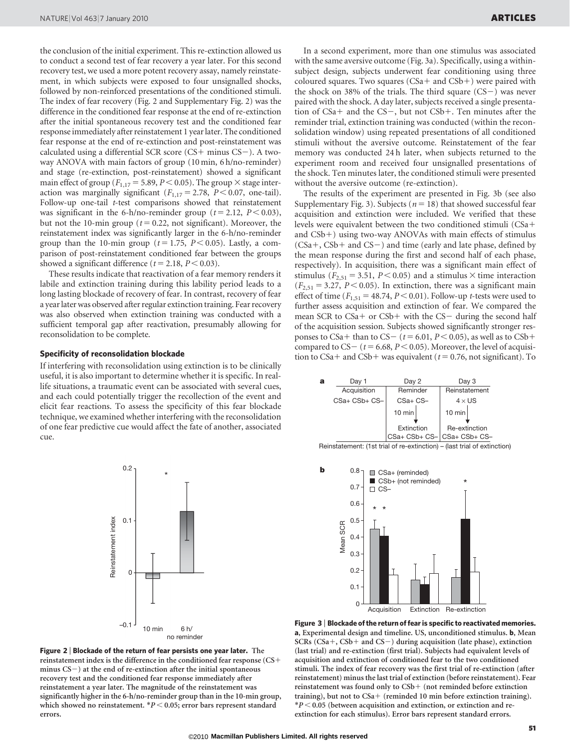the conclusion of the initial experiment. This re-extinction allowed us to conduct a second test of fear recovery a year later. For this second recovery test, we used a more potent recovery assay, namely reinstatement, in which subjects were exposed to four unsignalled shocks, followed by non-reinforced presentations of the conditioned stimuli. The index of fear recovery (Fig. 2 and Supplementary Fig. 2) was the difference in the conditioned fear response at the end of re-extinction after the initial spontaneous recovery test and the conditioned fear response immediately after reinstatement 1 year later. The conditioned fear response at the end of re-extinction and post-reinstatement was calculated using a differential SCR score  $(CS+$  minus  $CS-$ ). A twoway ANOVA with main factors of group (10 min, 6 h/no-reminder) and stage (re-extinction, post-reinstatement) showed a significant main effect of group ( $F_{1,17}$  = 5.89,  $P$  < 0.05). The group  $\times$  stage interaction was marginally significant  $(F_{1,17} = 2.78, P < 0.07,$  one-tail). Follow-up one-tail *t*-test comparisons showed that reinstatement was significant in the 6-h/no-reminder group ( $t = 2.12$ ,  $P < 0.03$ ), but not the 10-min group ( $t = 0.22$ , not significant). Moreover, the reinstatement index was significantly larger in the 6-h/no-reminder group than the 10-min group ( $t = 1.75$ ,  $P < 0.05$ ). Lastly, a comparison of post-reinstatement conditioned fear between the groups showed a significant difference ( $t = 2.18$ ,  $P < 0.03$ ).

These results indicate that reactivation of a fear memory renders it labile and extinction training during this lability period leads to a long lasting blockade of recovery of fear. In contrast, recovery of fear a year later was observed after regular extinction training. Fear recovery was also observed when extinction training was conducted with a sufficient temporal gap after reactivation, presumably allowing for reconsolidation to be complete.

#### Specificity of reconsolidation blockade

If interfering with reconsolidation using extinction is to be clinically useful, it is also important to determine whether it is specific. In reallife situations, a traumatic event can be associated with several cues, and each could potentially trigger the recollection of the event and elicit fear reactions. To assess the specificity of this fear blockade technique, we examined whether interfering with the reconsolidation of one fear predictive cue would affect the fate of another, associated cue.



Figure 2 <sup>|</sup> Blockade of the return of fear persists one year later. The reinstatement index is the difference in the conditioned fear response (CS+  $\,$ minus  $CS-$ ) at the end of re-extinction after the initial spontaneous recovery test and the conditioned fear response immediately after reinstatement a year later. The magnitude of the reinstatement was significantly higher in the 6-h/no-reminder group than in the 10-min group, which showed no reinstatement.  $*P < 0.05$ ; error bars represent standard errors.

In a second experiment, more than one stimulus was associated with the same aversive outcome (Fig. 3a). Specifically, using a withinsubject design, subjects underwent fear conditioning using three coloured squares. Two squares  $(CSa + and CSb+)$  were paired with the shock on 38% of the trials. The third square  $(CS<sup>-</sup>)$  was never paired with the shock. A day later, subjects received a single presentation of  $CSa+$  and the  $CS-$ , but not  $CSB+$ . Ten minutes after the reminder trial, extinction training was conducted (within the reconsolidation window) using repeated presentations of all conditioned stimuli without the aversive outcome. Reinstatement of the fear memory was conducted 24 h later, when subjects returned to the experiment room and received four unsignalled presentations of the shock. Ten minutes later, the conditioned stimuli were presented without the aversive outcome (re-extinction).

The results of the experiment are presented in Fig. 3b (see also Supplementary Fig. 3). Subjects ( $n = 18$ ) that showed successful fear acquisition and extinction were included. We verified that these levels were equivalent between the two conditioned stimuli  $(CSa+$ and  $C\text{Sb}$ +) using two-way ANOVAs with main effects of stimulus  $(CSa+, CSb+$  and  $CS-$ ) and time (early and late phase, defined by the mean response during the first and second half of each phase, respectively). In acquisition, there was a significant main effect of stimulus ( $F_{2,51} = 3.51$ ,  $P < 0.05$ ) and a stimulus  $\times$  time interaction  $(F_{2,51} = 3.27, P < 0.05)$ . In extinction, there was a significant main effect of time ( $F_{1,51} = 48.74$ ,  $P < 0.01$ ). Follow-up t-tests were used to further assess acquisition and extinction of fear. We compared the mean SCR to  $Csa + or CSb + with the  $CS -$  during the second half$ of the acquisition session. Subjects showed significantly stronger responses to CSa+ than to CS- ( $t = 6.01, P < 0.05$ ), as well as to CSb+ compared to  $CS-(t = 6.68, P < 0.05)$ . Moreover, the level of acquisition to  $CSa+$  and  $C5b+$  was equivalent ( $t = 0.76$ , not significant). To

| a | Dav 1         | Day 2            | Day $3$       |  |
|---|---------------|------------------|---------------|--|
|   | Acquisition   | Reminder         | Reinstatement |  |
|   | CSa+ CSb+ CS- | $CSa+CS-$        | $4 \times US$ |  |
|   |               | $10 \text{ min}$ | $10$ min      |  |
|   |               | Extinction       | Re-extinction |  |
|   |               | CSa+ CSb+ CS-    | CSa+ CSb+ CS- |  |

Reinstatement: (1st trial of re-extinction) – (last trial of extinction)



Figure 3 <sup>|</sup> Blockade of the return of fear is specific to reactivated memories. a, Experimental design and timeline. US, unconditioned stimulus. b, Mean SCRs (CSa+, CSb+ and CS-) during acquisition (late phase), extinction (last trial) and re-extinction (first trial). Subjects had equivalent levels of acquisition and extinction of conditioned fear to the two conditioned stimuli. The index of fear recovery was the first trial of re-extinction (after reinstatement) minus the last trial of extinction (before reinstatement). Fear reinstatement was found only to  $CSB+$  (not reminded before extinction training), but not to  $CSa+$  (reminded 10 min before extinction training).  $*P < 0.05$  (between acquisition and extinction, or extinction and reextinction for each stimulus). Error bars represent standard errors.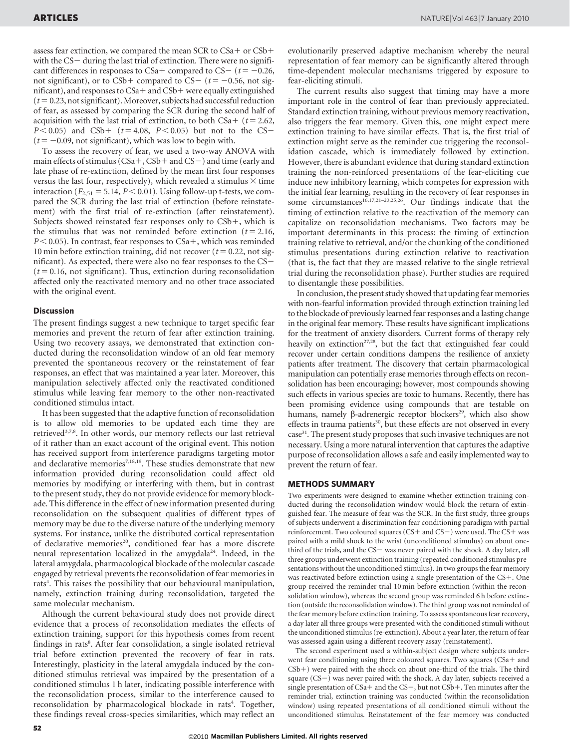assess fear extinction, we compared the mean SCR to  $Csa + or CSb +$ with the  $CS-$  during the last trial of extinction. There were no significant differences in responses to CSa+ compared to CS- ( $t = -0.26$ , not significant), or to CSb+ compared to CS- ( $t = -0.56$ , not significant), and responses to  $Csa +$  and  $Csb +$  were equally extinguished  $(t = 0.23$ , not significant). Moreover, subjects had successful reduction of fear, as assessed by comparing the SCR during the second half of acquisition with the last trial of extinction, to both  $CSa + (t = 2.62, t)$  $P < 0.05$ ) and CSb+ ( $t = 4.08$ ,  $P < 0.05$ ) but not to the CS- $(t = -0.09$ , not significant), which was low to begin with.

To assess the recovery of fear, we used a two-way ANOVA with main effects of stimulus ( $CSa+$ ,  $CSB+$  and  $CS-$ ) and time (early and late phase of re-extinction, defined by the mean first four responses versus the last four, respectively), which revealed a stimulus  $\times$  time interaction ( $F_{2,51} = 5.14$ ,  $P < 0.01$ ). Using follow-up t-tests, we compared the SCR during the last trial of extinction (before reinstatement) with the first trial of re-extinction (after reinstatement). Subjects showed reinstated fear responses only to  $CSB+$ , which is the stimulus that was not reminded before extinction ( $t = 2.16$ ,  $P < 0.05$ ). In contrast, fear responses to CSa+, which was reminded 10 min before extinction training, did not recover ( $t = 0.22$ , not significant). As expected, there were also no fear responses to the  $CS (t = 0.16$ , not significant). Thus, extinction during reconsolidation affected only the reactivated memory and no other trace associated with the original event.

#### **Discussion**

The present findings suggest a new technique to target specific fear memories and prevent the return of fear after extinction training. Using two recovery assays, we demonstrated that extinction conducted during the reconsolidation window of an old fear memory prevented the spontaneous recovery or the reinstatement of fear responses, an effect that was maintained a year later. Moreover, this manipulation selectively affected only the reactivated conditioned stimulus while leaving fear memory to the other non-reactivated conditioned stimulus intact.

It has been suggested that the adaptive function of reconsolidation is to allow old memories to be updated each time they are retrieved<sup>3,7,8</sup>. In other words, our memory reflects our last retrieval of it rather than an exact account of the original event. This notion has received support from interference paradigms targeting motor and declarative memories<sup>7,18,19</sup>. These studies demonstrate that new information provided during reconsolidation could affect old memories by modifying or interfering with them, but in contrast to the present study, they do not provide evidence for memory blockade. This difference in the effect of new information presented during reconsolidation on the subsequent qualities of different types of memory may be due to the diverse nature of the underlying memory systems. For instance, unlike the distributed cortical representation of declarative memories<sup>20</sup>, conditioned fear has a more discrete neural representation localized in the amygdala<sup>24</sup>. Indeed, in the lateral amygdala, pharmacological blockade of the molecular cascade engaged by retrieval prevents the reconsolidation of fear memories in rats<sup>4</sup>. This raises the possibility that our behavioural manipulation, namely, extinction training during reconsolidation, targeted the same molecular mechanism.

Although the current behavioural study does not provide direct evidence that a process of reconsolidation mediates the effects of extinction training, support for this hypothesis comes from recent findings in rats<sup>8</sup>. After fear consolidation, a single isolated retrieval trial before extinction prevented the recovery of fear in rats. Interestingly, plasticity in the lateral amygdala induced by the conditioned stimulus retrieval was impaired by the presentation of a conditioned stimulus 1 h later, indicating possible interference with the reconsolidation process, similar to the interference caused to reconsolidation by pharmacological blockade in rats<sup>4</sup>. Together, these findings reveal cross-species similarities, which may reflect an evolutionarily preserved adaptive mechanism whereby the neural representation of fear memory can be significantly altered through time-dependent molecular mechanisms triggered by exposure to fear-eliciting stimuli.

The current results also suggest that timing may have a more important role in the control of fear than previously appreciated. Standard extinction training, without previous memory reactivation, also triggers the fear memory. Given this, one might expect mere extinction training to have similar effects. That is, the first trial of extinction might serve as the reminder cue triggering the reconsolidation cascade, which is immediately followed by extinction. However, there is abundant evidence that during standard extinction training the non-reinforced presentations of the fear-eliciting cue induce new inhibitory learning, which competes for expression with the initial fear learning, resulting in the recovery of fear responses in some circumstances<sup>16,17,21–23,25,26</sup>. Our findings indicate that the timing of extinction relative to the reactivation of the memory can capitalize on reconsolidation mechanisms. Two factors may be important determinants in this process: the timing of extinction training relative to retrieval, and/or the chunking of the conditioned stimulus presentations during extinction relative to reactivation (that is, the fact that they are massed relative to the single retrieval trial during the reconsolidation phase). Further studies are required to disentangle these possibilities.

In conclusion, the present study showed that updating fear memories with non-fearful information provided through extinction training led to the blockade of previously learned fear responses and a lasting change in the original fear memory. These results have significant implications for the treatment of anxiety disorders. Current forms of therapy rely heavily on extinction<sup>27,28</sup>, but the fact that extinguished fear could recover under certain conditions dampens the resilience of anxiety patients after treatment. The discovery that certain pharmacological manipulation can potentially erase memories through effects on reconsolidation has been encouraging; however, most compounds showing such effects in various species are toxic to humans. Recently, there has been promising evidence using compounds that are testable on humans, namely  $\beta$ -adrenergic receptor blockers<sup>29</sup>, which also show effects in trauma patients<sup>30</sup>, but these effects are not observed in every case<sup>31</sup>. The present study proposes that such invasive techniques are not necessary. Using a more natural intervention that captures the adaptive purpose of reconsolidation allows a safe and easily implemented way to prevent the return of fear.

#### METHODS SUMMARY

Two experiments were designed to examine whether extinction training conducted during the reconsolidation window would block the return of extinguished fear. The measure of fear was the SCR. In the first study, three groups of subjects underwent a discrimination fear conditioning paradigm with partial reinforcement. Two coloured squares ( $CS+$  and  $CS-$ ) were used. The  $CS+$  was paired with a mild shock to the wrist (unconditioned stimulus) on about onethird of the trials, and the  $CS-$  was never paired with the shock. A day later, all three groups underwent extinction training (repeated conditioned stimulus presentations without the unconditioned stimulus). In two groups the fear memory was reactivated before extinction using a single presentation of the  $CS+$ . One group received the reminder trial 10 min before extinction (within the reconsolidation window), whereas the second group was reminded 6 h before extinction (outside the reconsolidation window). The third group was not reminded of the fear memory before extinction training. To assess spontaneous fear recovery, a day later all three groups were presented with the conditioned stimuli without the unconditioned stimulus (re-extinction). About a year later, the return of fear was assessed again using a different recovery assay (reinstatement).

The second experiment used a within-subject design where subjects underwent fear conditioning using three coloured squares. Two squares ( $CSa+$  and  $CSb+$ ) were paired with the shock on about one-third of the trials. The third square  $(CS-)$  was never paired with the shock. A day later, subjects received a single presentation of  $Csa+$  and the  $CS-$ , but not  $CSB+$ . Ten minutes after the reminder trial, extinction training was conducted (within the reconsolidation window) using repeated presentations of all conditioned stimuli without the unconditioned stimulus. Reinstatement of the fear memory was conducted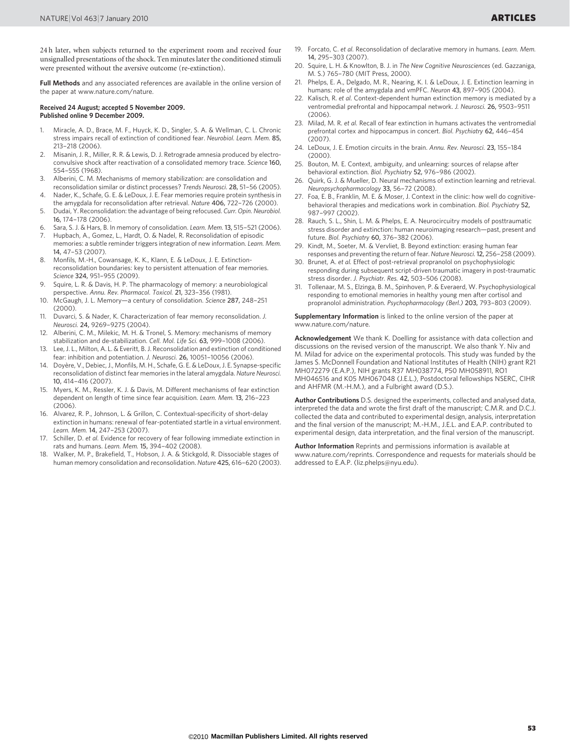24 h later, when subjects returned to the experiment room and received four unsignalled presentations of the shock. Ten minutes later the conditioned stimuli were presented without the aversive outcome (re-extinction).

Full Methods and any associated references are available in the online version of the paper at<www.nature.com/nature>.

#### Received 24 August; accepted 5 November 2009. Published online 9 December 2009.

- 1. Miracle, A. D., Brace, M. F., Huyck, K. D., Singler, S. A. & Wellman, C. L. Chronic stress impairs recall of extinction of conditioned fear. Neurobiol. Learn. Mem. 85, 213–218 (2006).
- 2. Misanin, J. R., Miller, R. R. & Lewis, D. J. Retrograde amnesia produced by electroconvulsive shock after reactivation of a consolidated memory trace. Science 160, 554–555 (1968).
- 3. Alberini, C. M. Mechanisms of memory stabilization: are consolidation and reconsolidation similar or distinct processes? Trends Neurosci. 28, 51–56 (2005).
- 4. Nader, K., Schafe, G. E. & LeDoux, J. E. Fear memories require protein synthesis in the amygdala for reconsolidation after retrieval. Nature 406, 722–726 (2000).
- 5. Dudai, Y. Reconsolidation: the advantage of being refocused. Curr. Opin. Neurobiol. 16, 174–178 (2006).
- 6. Sara, S. J. & Hars, B. In memory of consolidation. Learn. Mem. 13, 515–521 (2006). 7. Hupbach, A., Gomez, L., Hardt, O. & Nadel, R. Reconsolidation of episodic
- memories: a subtle reminder triggers integration of new information. Learn. Mem. 14, 47–53 (2007).
- 8. Monfils, M.-H., Cowansage, K. K., Klann, E. & LeDoux, J. E. Extinctionreconsolidation boundaries: key to persistent attenuation of fear memories. Science 324, 951–955 (2009).
- Squire, L. R. & Davis, H. P. The pharmacology of memory: a neurobiological perspective. Annu. Rev. Pharmacol. Toxicol. 21, 323–356 (1981).
- 10. McGaugh, J. L. Memory—a century of consolidation. Science 287, 248–251 (2000).
- 11. Duvarci, S. & Nader, K. Characterization of fear memory reconsolidation. J. Neurosci. 24, 9269–9275 (2004).
- 12. Alberini, C. M., Milekic, M. H. & Tronel, S. Memory: mechanisms of memory stabilization and de-stabilization. Cell. Mol. Life Sci. 63, 999-1008 (2006).
- 13. Lee, J. L., Milton, A. L. & Everitt, B. J. Reconsolidation and extinction of conditioned fear: inhibition and potentiation. J. Neurosci. 26, 10051–10056 (2006).
- 14. Doyère, V., Debiec, J., Monfils, M. H., Schafe, G. E. & LeDoux, J. E. Synapse-specific reconsolidation of distinct fear memories in the lateral amygdala. Nature Neurosci. 10, 414–416 (2007).
- 15. Myers, K. M., Ressler, K. J. & Davis, M. Different mechanisms of fear extinction dependent on length of time since fear acquisition. Learn. Mem. 13, 216–223  $(2006)$
- 16. Alvarez, R. P., Johnson, L. & Grillon, C. Contextual-specificity of short-delay extinction in humans: renewal of fear-potentiated startle in a virtual environment. Learn. Mem. 14, 247–253 (2007).
- 17. Schiller, D. et al. Evidence for recovery of fear following immediate extinction in rats and humans. Learn. Mem. 15, 394–402 (2008).
- 18. Walker, M. P., Brakefield, T., Hobson, J. A. & Stickgold, R. Dissociable stages of human memory consolidation and reconsolidation. Nature 425, 616–620 (2003).
- 19. Forcato, C. et al. Reconsolidation of declarative memory in humans. Learn. Mem. 14, 295–303 (2007).
- 20. Squire, L. H. & Knowlton, B. J. in The New Cognitive Neurosciences (ed. Gazzaniga, M. S.) 765–780 (MIT Press, 2000).
- 21. Phelps, E. A., Delgado, M. R., Nearing, K. I. & LeDoux, J. E. Extinction learning in humans: role of the amygdala and vmPFC. Neuron 43, 897–905 (2004).
- 22. Kalisch, R. et al. Context-dependent human extinction memory is mediated by a ventromedial prefrontal and hippocampal network. J. Neurosci. 26, 9503–9511  $(2006)$
- 23. Milad, M. R. et al. Recall of fear extinction in humans activates the ventromedial prefrontal cortex and hippocampus in concert. Biol. Psychiatry 62, 446–454  $(2007)$
- 24. LeDoux, J. E. Emotion circuits in the brain. Annu. Rev. Neurosci. 23, 155–184 (2000).
- 25. Bouton, M. E. Context, ambiguity, and unlearning: sources of relapse after behavioral extinction. Biol. Psychiatry 52, 976–986 (2002).
- 26. Quirk, G. J. & Mueller, D. Neural mechanisms of extinction learning and retrieval. Neuropsychopharmacology 33, 56–72 (2008).
- 27. Foa, E. B., Franklin, M. E. & Moser, J. Context in the clinic: how well do cognitivebehavioral therapies and medications work in combination. Biol. Psychiatry 52, 987–997 (2002).
- 28. Rauch, S. L., Shin, L. M. & Phelps, E. A. Neurocircuitry models of posttraumatic stress disorder and extinction: human neuroimaging research—past, present and future. Biol. Psychiatry 60, 376–382 (2006).
- 29. Kindt, M., Soeter, M. & Vervliet, B. Beyond extinction: erasing human fear responses and preventing the return of fear. Nature Neurosci.12, 256–258 (2009).
- 30. Brunet, A. et al. Effect of post-retrieval propranolol on psychophysiologic responding during subsequent script-driven traumatic imagery in post-traumatic stress disorder. J. Psychiatr. Res. 42, 503–506 (2008).
- 31. Tollenaar, M. S., Elzinga, B. M., Spinhoven, P. & Everaerd, W. Psychophysiological responding to emotional memories in healthy young men after cortisol and propranolol administration. Psychopharmacology (Berl.) 203, 793–803 (2009).

Supplementary Information is linked to the online version of the paper at <www.nature.com/nature>.

Acknowledgement We thank K. Doelling for assistance with data collection and discussions on the revised version of the manuscript. We also thank Y. Niv and M. Milad for advice on the experimental protocols. This study was funded by the James S. McDonnell Foundation and National Institutes of Health (NIH) grant R21 MH072279 (E.A.P.), NIH grants R37 MH038774, P50 MH058911, RO1 MH046516 and K05 MH067048 (J.E.L.), Postdoctoral fellowships NSERC, CIHR and AHFMR (M.-H.M.), and a Fulbright award (D.S.).

Author Contributions D.S. designed the experiments, collected and analysed data, interpreted the data and wrote the first draft of the manuscript; C.M.R. and D.C.J. collected the data and contributed to experimental design, analysis, interpretation and the final version of the manuscript; M.-H.M., J.E.L. and E.A.P. contributed to experimental design, data interpretation, and the final version of the manuscript.

Author Information Reprints and permissions information is available at <www.nature.com/reprints>. Correspondence and requests for materials should be addressed to E.A.P. ([liz.phelps@nyu.edu\)](mailto:liz.phelps@nyu.edu).